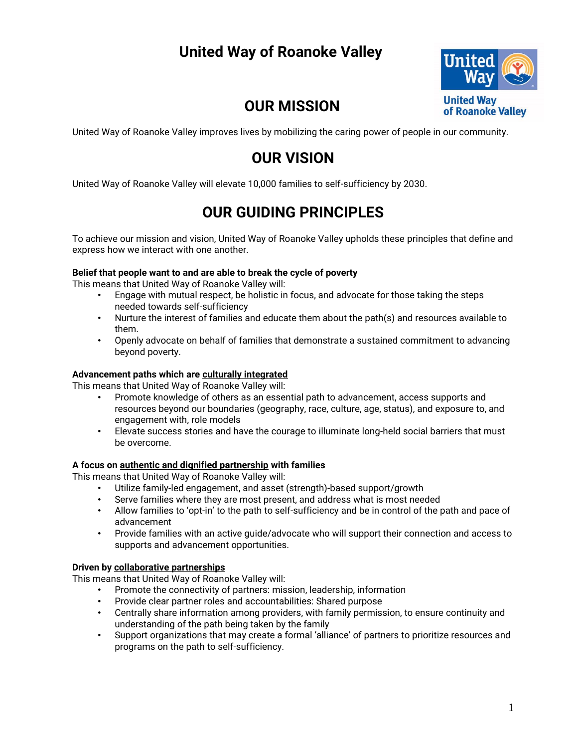# **United Way of Roanoke Valley**



## **OUR MISSION**

United Way of Roanoke Valley improves lives by mobilizing the caring power of people in our community.

## **OUR VISION**

United Way of Roanoke Valley will elevate 10,000 families to self-sufficiency by 2030.

## **OUR GUIDING PRINCIPLES**

To achieve our mission and vision, United Way of Roanoke Valley upholds these principles that define and express how we interact with one another.

#### **Belief that people want to and are able to break the cycle of poverty**

This means that United Way of Roanoke Valley will:

- Engage with mutual respect, be holistic in focus, and advocate for those taking the steps needed towards self-sufficiency
- Nurture the interest of families and educate them about the path(s) and resources available to them.
- Openly advocate on behalf of families that demonstrate a sustained commitment to advancing beyond poverty.

#### **Advancement paths which are culturally integrated**

This means that United Way of Roanoke Valley will:

- Promote knowledge of others as an essential path to advancement, access supports and resources beyond our boundaries (geography, race, culture, age, status), and exposure to, and engagement with, role models
- Elevate success stories and have the courage to illuminate long-held social barriers that must be overcome.

#### **A focus on authentic and dignified partnership with families**

This means that United Way of Roanoke Valley will:

- Utilize family-led engagement, and asset (strength)-based support/growth
- Serve families where they are most present, and address what is most needed
- Allow families to 'opt-in' to the path to self-sufficiency and be in control of the path and pace of advancement
- Provide families with an active guide/advocate who will support their connection and access to supports and advancement opportunities.

#### **Driven by collaborative partnerships**

This means that United Way of Roanoke Valley will:

- Promote the connectivity of partners: mission, leadership, information
- Provide clear partner roles and accountabilities: Shared purpose
- Centrally share information among providers, with family permission, to ensure continuity and understanding of the path being taken by the family
- Support organizations that may create a formal 'alliance' of partners to prioritize resources and programs on the path to self-sufficiency.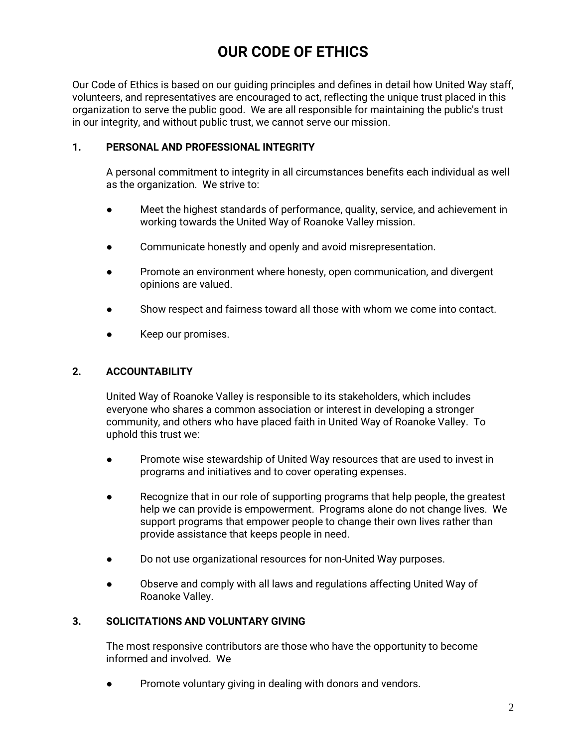# **OUR CODE OF ETHICS**

Our Code of Ethics is based on our guiding principles and defines in detail how United Way staff, volunteers, and representatives are encouraged to act, reflecting the unique trust placed in this organization to serve the public good. We are all responsible for maintaining the public's trust in our integrity, and without public trust, we cannot serve our mission.

#### **1. PERSONAL AND PROFESSIONAL INTEGRITY**

A personal commitment to integrity in all circumstances benefits each individual as well as the organization. We strive to:

- Meet the highest standards of performance, quality, service, and achievement in working towards the United Way of Roanoke Valley mission.
- Communicate honestly and openly and avoid misrepresentation.
- Promote an environment where honesty, open communication, and divergent opinions are valued.
- Show respect and fairness toward all those with whom we come into contact.
- Keep our promises.

### **2. ACCOUNTABILITY**

United Way of Roanoke Valley is responsible to its stakeholders, which includes everyone who shares a common association or interest in developing a stronger community, and others who have placed faith in United Way of Roanoke Valley. To uphold this trust we:

- Promote wise stewardship of United Way resources that are used to invest in programs and initiatives and to cover operating expenses.
- Recognize that in our role of supporting programs that help people, the greatest help we can provide is empowerment. Programs alone do not change lives. We support programs that empower people to change their own lives rather than provide assistance that keeps people in need.
- Do not use organizational resources for non-United Way purposes.
- Observe and comply with all laws and regulations affecting United Way of Roanoke Valley.

#### **3. SOLICITATIONS AND VOLUNTARY GIVING**

The most responsive contributors are those who have the opportunity to become informed and involved. We

Promote voluntary giving in dealing with donors and vendors.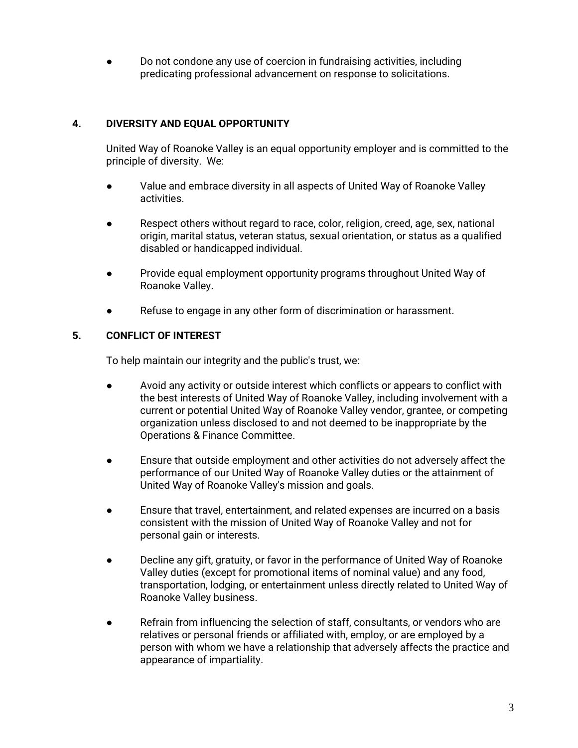Do not condone any use of coercion in fundraising activities, including predicating professional advancement on response to solicitations.

### **4. DIVERSITY AND EQUAL OPPORTUNITY**

United Way of Roanoke Valley is an equal opportunity employer and is committed to the principle of diversity. We:

- Value and embrace diversity in all aspects of United Way of Roanoke Valley activities.
- Respect others without regard to race, color, religion, creed, age, sex, national origin, marital status, veteran status, sexual orientation, or status as a qualified disabled or handicapped individual.
- Provide equal employment opportunity programs throughout United Way of Roanoke Valley.
- Refuse to engage in any other form of discrimination or harassment.

### **5. CONFLICT OF INTEREST**

To help maintain our integrity and the public's trust, we:

- Avoid any activity or outside interest which conflicts or appears to conflict with the best interests of United Way of Roanoke Valley, including involvement with a current or potential United Way of Roanoke Valley vendor, grantee, or competing organization unless disclosed to and not deemed to be inappropriate by the Operations & Finance Committee.
- Ensure that outside employment and other activities do not adversely affect the performance of our United Way of Roanoke Valley duties or the attainment of United Way of Roanoke Valley's mission and goals.
- Ensure that travel, entertainment, and related expenses are incurred on a basis consistent with the mission of United Way of Roanoke Valley and not for personal gain or interests.
- Decline any gift, gratuity, or favor in the performance of United Way of Roanoke Valley duties (except for promotional items of nominal value) and any food, transportation, lodging, or entertainment unless directly related to United Way of Roanoke Valley business.
- Refrain from influencing the selection of staff, consultants, or vendors who are relatives or personal friends or affiliated with, employ, or are employed by a person with whom we have a relationship that adversely affects the practice and appearance of impartiality.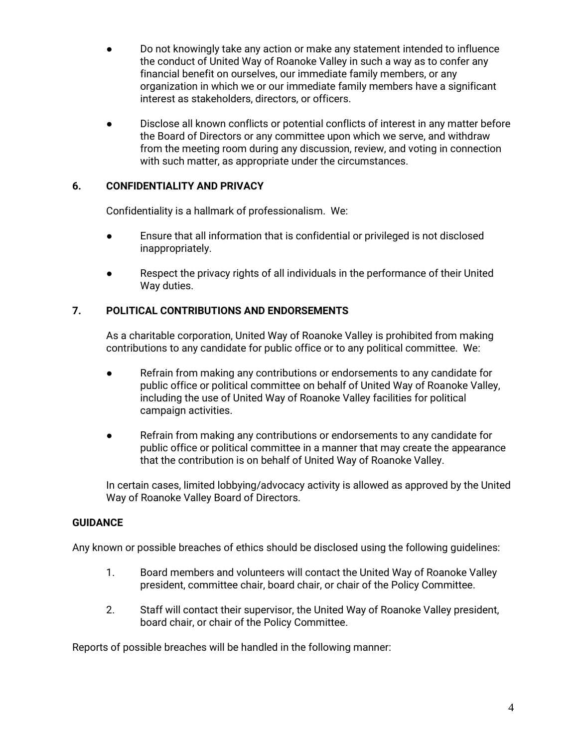- Do not knowingly take any action or make any statement intended to influence the conduct of United Way of Roanoke Valley in such a way as to confer any financial benefit on ourselves, our immediate family members, or any organization in which we or our immediate family members have a significant interest as stakeholders, directors, or officers.
- Disclose all known conflicts or potential conflicts of interest in any matter before the Board of Directors or any committee upon which we serve, and withdraw from the meeting room during any discussion, review, and voting in connection with such matter, as appropriate under the circumstances.

#### **6. CONFIDENTIALITY AND PRIVACY**

Confidentiality is a hallmark of professionalism. We:

- Ensure that all information that is confidential or privileged is not disclosed inappropriately.
- Respect the privacy rights of all individuals in the performance of their United Way duties.

### **7. POLITICAL CONTRIBUTIONS AND ENDORSEMENTS**

As a charitable corporation, United Way of Roanoke Valley is prohibited from making contributions to any candidate for public office or to any political committee. We:

- Refrain from making any contributions or endorsements to any candidate for public office or political committee on behalf of United Way of Roanoke Valley, including the use of United Way of Roanoke Valley facilities for political campaign activities.
- Refrain from making any contributions or endorsements to any candidate for public office or political committee in a manner that may create the appearance that the contribution is on behalf of United Way of Roanoke Valley.

In certain cases, limited lobbying/advocacy activity is allowed as approved by the United Way of Roanoke Valley Board of Directors.

### **GUIDANCE**

Any known or possible breaches of ethics should be disclosed using the following guidelines:

- 1. Board members and volunteers will contact the United Way of Roanoke Valley president, committee chair, board chair, or chair of the Policy Committee.
- 2. Staff will contact their supervisor, the United Way of Roanoke Valley president, board chair, or chair of the Policy Committee.

Reports of possible breaches will be handled in the following manner: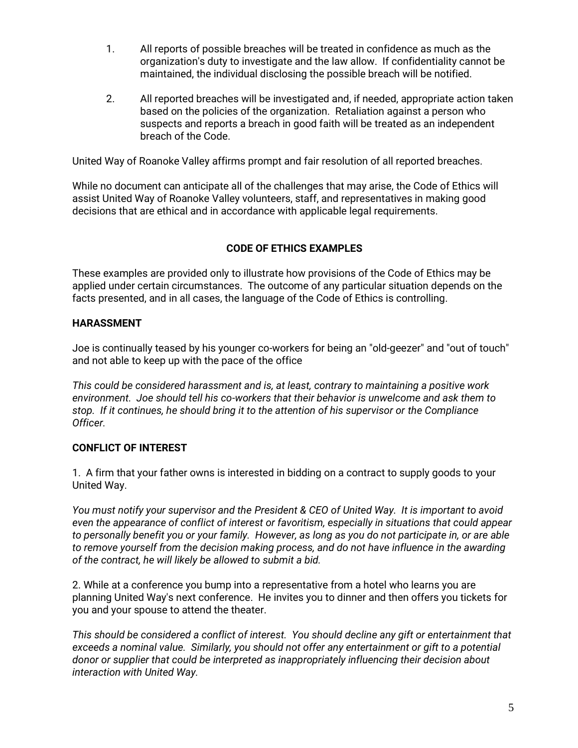- 1. All reports of possible breaches will be treated in confidence as much as the organization's duty to investigate and the law allow. If confidentiality cannot be maintained, the individual disclosing the possible breach will be notified.
- 2. All reported breaches will be investigated and, if needed, appropriate action taken based on the policies of the organization. Retaliation against a person who suspects and reports a breach in good faith will be treated as an independent breach of the Code.

United Way of Roanoke Valley affirms prompt and fair resolution of all reported breaches.

While no document can anticipate all of the challenges that may arise, the Code of Ethics will assist United Way of Roanoke Valley volunteers, staff, and representatives in making good decisions that are ethical and in accordance with applicable legal requirements.

## **CODE OF ETHICS EXAMPLES**

These examples are provided only to illustrate how provisions of the Code of Ethics may be applied under certain circumstances. The outcome of any particular situation depends on the facts presented, and in all cases, the language of the Code of Ethics is controlling.

### **HARASSMENT**

Joe is continually teased by his younger co-workers for being an "old-geezer" and "out of touch" and not able to keep up with the pace of the office

*This could be considered harassment and is, at least, contrary to maintaining a positive work environment. Joe should tell his co-workers that their behavior is unwelcome and ask them to stop. If it continues, he should bring it to the attention of his supervisor or the Compliance Officer.*

### **CONFLICT OF INTEREST**

1. A firm that your father owns is interested in bidding on a contract to supply goods to your United Way.

*You must notify your supervisor and the President & CEO of United Way. It is important to avoid even the appearance of conflict of interest or favoritism, especially in situations that could appear to personally benefit you or your family. However, as long as you do not participate in, or are able to remove yourself from the decision making process, and do not have influence in the awarding of the contract, he will likely be allowed to submit a bid.*

2. While at a conference you bump into a representative from a hotel who learns you are planning United Way's next conference. He invites you to dinner and then offers you tickets for you and your spouse to attend the theater.

*This should be considered a conflict of interest. You should decline any gift or entertainment that exceeds a nominal value. Similarly, you should not offer any entertainment or gift to a potential donor or supplier that could be interpreted as inappropriately influencing their decision about interaction with United Way.*